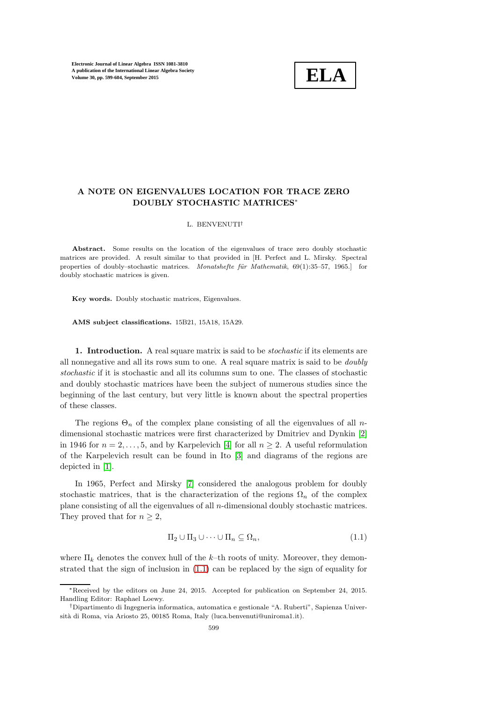

## A NOTE ON EIGENVALUES LOCATION FOR TRACE ZERO DOUBLY STOCHASTIC MATRICES<sup>∗</sup>

## L. BENVENUTI†

Abstract. Some results on the location of the eigenvalues of trace zero doubly stochastic matrices are provided. A result similar to that provided in [H. Perfect and L. Mirsky. Spectral properties of doubly–stochastic matrices. Monatshefte für Mathematik, 69(1):35–57, 1965.] for doubly stochastic matrices is given.

Key words. Doubly stochastic matrices, Eigenvalues.

AMS subject classifications. 15B21, 15A18, 15A29.

1. Introduction. A real square matrix is said to be *stochastic* if its elements are all nonnegative and all its rows sum to one. A real square matrix is said to be doubly stochastic if it is stochastic and all its columns sum to one. The classes of stochastic and doubly stochastic matrices have been the subject of numerous studies since the beginning of the last century, but very little is known about the spectral properties of these classes.

The regions  $\Theta_n$  of the complex plane consisting of all the eigenvalues of all ndimensional stochastic matrices were first characterized by Dmitriev and Dynkin [\[2\]](#page-5-0) in 1946 for  $n = 2, \ldots, 5$ , and by Karpelevich [\[4\]](#page-5-1) for all  $n \geq 2$ . A useful reformulation of the Karpelevich result can be found in Ito [\[3\]](#page-5-2) and diagrams of the regions are depicted in [\[1\]](#page-5-3).

In 1965, Perfect and Mirsky [\[7\]](#page-5-4) considered the analogous problem for doubly stochastic matrices, that is the characterization of the regions  $\Omega_n$  of the complex plane consisting of all the eigenvalues of all n-dimensional doubly stochastic matrices. They proved that for  $n \geq 2$ ,

<span id="page-0-0"></span>
$$
\Pi_2 \cup \Pi_3 \cup \dots \cup \Pi_n \subseteq \Omega_n,\tag{1.1}
$$

where  $\Pi_k$  denotes the convex hull of the k–th roots of unity. Moreover, they demonstrated that the sign of inclusion in [\(1.1\)](#page-0-0) can be replaced by the sign of equality for

<sup>∗</sup>Received by the editors on June 24, 2015. Accepted for publication on September 24, 2015. Handling Editor: Raphael Loewy.

<sup>†</sup>Dipartimento di Ingegneria informatica, automatica e gestionale "A. Ruberti", Sapienza Università di Roma, via Ariosto 25, 00185 Roma, Italy (luca.benvenuti@uniroma1.it).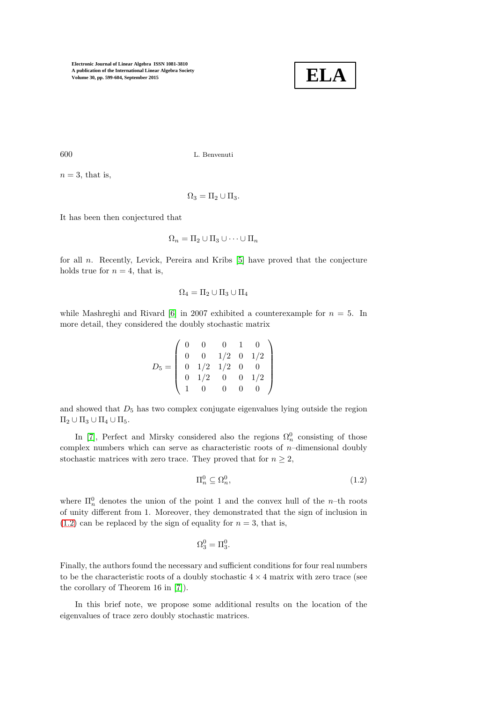

600 L. Benvenuti

 $n = 3$ , that is,

$$
\Omega_3=\Pi_2\cup\Pi_3.
$$

It has been then conjectured that

$$
\Omega_n = \Pi_2 \cup \Pi_3 \cup \cdots \cup \Pi_n
$$

for all  $n$ . Recently, Levick, Pereira and Kribs  $[5]$  have proved that the conjecture holds true for  $n = 4$ , that is,

$$
\Omega_4=\Pi_2\cup\Pi_3\cup\Pi_4
$$

while Mashreghi and Rivard [\[6\]](#page-5-6) in 2007 exhibited a counterexample for  $n = 5$ . In more detail, they considered the doubly stochastic matrix

$$
D_5 = \left(\begin{array}{cccc} 0 & 0 & 0 & 1 & 0 \\ 0 & 0 & 1/2 & 0 & 1/2 \\ 0 & 1/2 & 1/2 & 0 & 0 \\ 0 & 1/2 & 0 & 0 & 1/2 \\ 1 & 0 & 0 & 0 & 0 \end{array}\right)
$$

and showed that  $D_5$  has two complex conjugate eigenvalues lying outside the region  $\Pi_2 \cup \Pi_3 \cup \Pi_4 \cup \Pi_5.$ 

In [\[7\]](#page-5-4), Perfect and Mirsky considered also the regions  $\Omega_n^0$  consisting of those complex numbers which can serve as characteristic roots of  $n$ –dimensional doubly stochastic matrices with zero trace. They proved that for  $n \geq 2$ ,

<span id="page-1-0"></span>
$$
\Pi_n^0 \subseteq \Omega_n^0,\tag{1.2}
$$

where  $\Pi_n^0$  denotes the union of the point 1 and the convex hull of the *n*-th roots of unity different from 1. Moreover, they demonstrated that the sign of inclusion in  $(1.2)$  can be replaced by the sign of equality for  $n = 3$ , that is,

$$
\Omega_3^0 = \Pi_3^0.
$$

Finally, the authors found the necessary and sufficient conditions for four real numbers to be the characteristic roots of a doubly stochastic  $4 \times 4$  matrix with zero trace (see the corollary of Theorem 16 in [\[7\]](#page-5-4)).

In this brief note, we propose some additional results on the location of the eigenvalues of trace zero doubly stochastic matrices.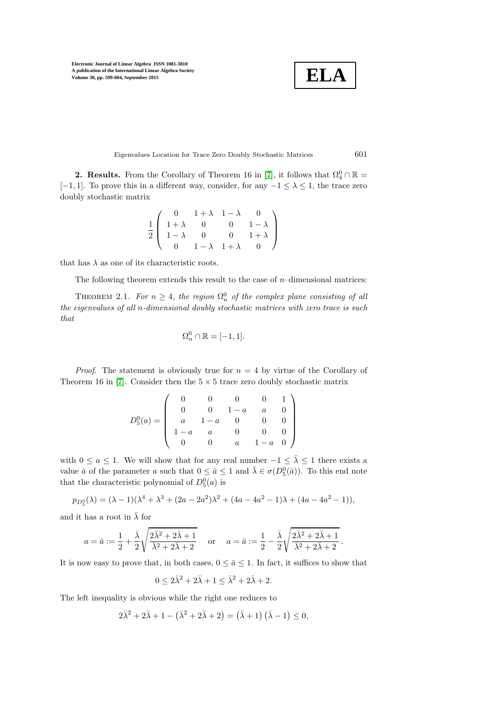$$
\boxed{\textbf{ELA}}
$$

Eigenvalues Location for Trace Zero Doubly Stochastic Matrices 601

**2. Results.** From the Corollary of Theorem 16 in [\[7\]](#page-5-4), it follows that  $\Omega_4^0 \cap \mathbb{R} =$ [−1, 1]. To prove this in a different way, consider, for any  $-1 \leq \lambda \leq 1$ , the trace zero doubly stochastic matrix

$$
\frac{1}{2} \left( \begin{array}{cccc} 0 & 1+\lambda & 1-\lambda & 0 \\ 1+\lambda & 0 & 0 & 1-\lambda \\ 1-\lambda & 0 & 0 & 1+\lambda \\ 0 & 1-\lambda & 1+\lambda & 0 \end{array} \right)
$$

that has  $\lambda$  as one of its characteristic roots.

The following theorem extends this result to the case of  $n$ –dimensional matrices:

THEOREM 2.1. For  $n \geq 4$ , the region  $\Omega_n^0$  of the complex plane consisting of all the eigenvalues of all n-dimensional doubly stochastic matrices with zero trace is such that

$$
\Omega_n^0\cap\mathbb{R}=[-1,1].
$$

*Proof.* The statement is obviously true for  $n = 4$  by virtue of the Corollary of Theorem 16 in [\[7\]](#page-5-4). Consider then the  $5 \times 5$  trace zero doubly stochastic matrix

$$
D_5^0(a) = \left(\begin{array}{cccccc} 0 & 0 & 0 & 0 & 1 \\ 0 & 0 & 1-a & a & 0 \\ a & 1-a & 0 & 0 & 0 \\ 1-a & a & 0 & 0 & 0 \\ 0 & 0 & a & 1-a & 0 \end{array}\right)
$$

with  $0 \le a \le 1$ . We will show that for any real number  $-1 \le \overline{\lambda} \le 1$  there exists a value  $\bar{a}$  of the parameter a such that  $0 \leq \bar{a} \leq 1$  and  $\bar{\lambda} \in \sigma(D_5^0(\bar{a}))$ . To this end note that the characteristic polynomial of  $D_5^0(a)$  is

$$
p_{D_5^0}(\lambda) = (\lambda - 1)(\lambda^4 + \lambda^3 + (2a - 2a^2)\lambda^2 + (4a - 4a^2 - 1)\lambda + (4a - 4a^2 - 1)),
$$

and it has a root in  $\bar{\lambda}$  for

$$
a = \bar{a} := \frac{1}{2} + \frac{\bar{\lambda}}{2} \sqrt{\frac{2\bar{\lambda}^2 + 2\bar{\lambda} + 1}{\bar{\lambda}^2 + 2\bar{\lambda} + 2}} \quad \text{or} \quad a = \bar{a} := \frac{1}{2} - \frac{\bar{\lambda}}{2} \sqrt{\frac{2\bar{\lambda}^2 + 2\bar{\lambda} + 1}{\bar{\lambda}^2 + 2\bar{\lambda} + 2}}.
$$

It is now easy to prove that, in both cases,  $0 \leq \bar{a} \leq 1$ . In fact, it suffices to show that

$$
0 \le 2\bar{\lambda}^2 + 2\bar{\lambda} + 1 \le \bar{\lambda}^2 + 2\bar{\lambda} + 2.
$$

The left inequality is obvious while the right one reduces to

$$
2\bar{\lambda}^2 + 2\bar{\lambda} + 1 - (\bar{\lambda}^2 + 2\bar{\lambda} + 2) = (\bar{\lambda} + 1)(\bar{\lambda} - 1) \le 0,
$$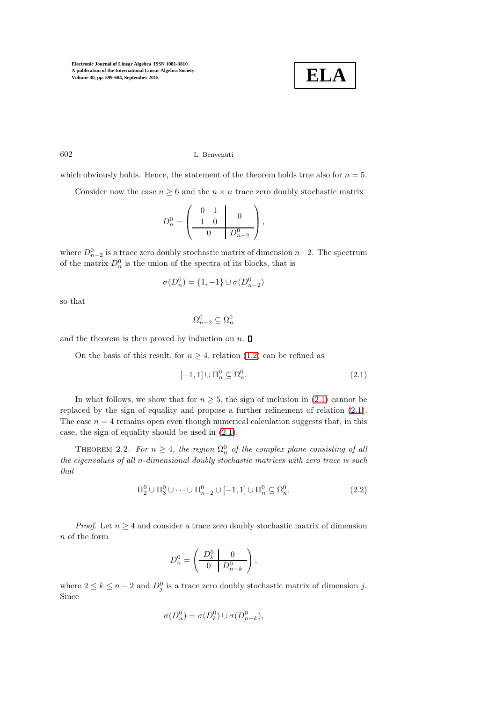

602 L. Benvenuti

which obviously holds. Hence, the statement of the theorem holds true also for  $n = 5$ .

Consider now the case  $n \geq 6$  and the  $n \times n$  trace zero doubly stochastic matrix

$$
D_n^0 = \left( \begin{array}{cc|cc} 0 & 1 & & 0 \\ 1 & 0 & & 0 \\ \hline 0 & & D_{n-2}^0 \end{array} \right),
$$

where  $D_{n-2}^0$  is a trace zero doubly stochastic matrix of dimension  $n-2$ . The spectrum of the matrix  $D_n^0$  is the union of the spectra of its blocks, that is

$$
\sigma(D_n^0) = \{1, -1\} \cup \sigma(D_{n-2}^0)
$$

so that

$$
\Omega_{n-2}^0 \subseteq \Omega_n^0
$$

and the theorem is then proved by induction on  $n$ .  $\Box$ 

On the basis of this result, for  $n \geq 4$ , relation [\(1.2\)](#page-1-0) can be refined as

<span id="page-3-0"></span>
$$
[-1,1] \cup \Pi_n^0 \subseteq \Omega_n^0. \tag{2.1}
$$

In what follows, we show that for  $n \geq 5$ , the sign of inclusion in [\(2.1\)](#page-3-0) cannot be replaced by the sign of equality and propose a further refinement of relation [\(2.1\)](#page-3-0). The case  $n = 4$  remains open even though numerical calculation suggests that, in this case, the sign of equality should be used in [\(2.1\)](#page-3-0).

THEOREM 2.2. For  $n \geq 4$ , the region  $\Omega_n^0$  of the complex plane consisting of all the eigenvalues of all n-dimensional doubly stochastic matrices with zero trace is such that

<span id="page-3-1"></span>
$$
\Pi_2^0 \cup \Pi_3^0 \cup \dots \cup \Pi_{n-2}^0 \cup [-1,1] \cup \Pi_n^0 \subseteq \Omega_n^0. \tag{2.2}
$$

*Proof.* Let  $n \geq 4$  and consider a trace zero doubly stochastic matrix of dimension n of the form

$$
D_n^0 = \left( \begin{array}{c|c} D_k^0 & 0 \\ \hline 0 & D_{n-k}^0 \end{array} \right),
$$

where  $2 \leq k \leq n-2$  and  $D_j^0$  is a trace zero doubly stochastic matrix of dimension j. Since

$$
\sigma(D_n^0) = \sigma(D_k^0) \cup \sigma(D_{n-k}^0),
$$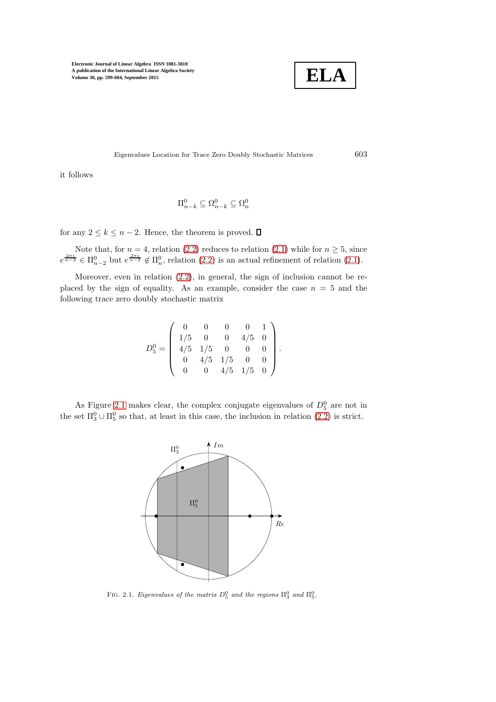

Eigenvalues Location for Trace Zero Doubly Stochastic Matrices 603

it follows

$$
\Pi^0_{n-k}\subseteq \Omega^0_{n-k}\subseteq \Omega^0_n
$$

for any  $2 \leq k \leq n-2$ . Hence, the theorem is proved.  $\Box$ 

Note that, for  $n = 4$ , relation [\(2.2\)](#page-3-1) reduces to relation [\(2.1\)](#page-3-0) while for  $n \geq 5$ , since  $e^{\frac{2\pi i}{n-2}} \in \Pi_{n-2}^0$  but  $e^{\frac{2\pi i}{n-2}} \notin \Pi_n^0$ , relation  $(2.2)$  is an actual refinement of relation  $(2.1)$ .

Moreover, even in relation [\(2.2\)](#page-3-1), in general, the sign of inclusion cannot be replaced by the sign of equality. As an example, consider the case  $n = 5$  and the following trace zero doubly stochastic matrix

$$
D_5^0 = \left(\begin{array}{cccccc} 0 & 0 & 0 & 0 & 1 \\ 1/5 & 0 & 0 & 4/5 & 0 \\ 4/5 & 1/5 & 0 & 0 & 0 \\ 0 & 4/5 & 1/5 & 0 & 0 \\ 0 & 0 & 4/5 & 1/5 & 0 \end{array}\right).
$$

As Figure [2.1](#page-4-0) makes clear, the complex conjugate eigenvalues of  $D_5^0$  are not in the set  $\Pi_3^0 \cup \Pi_5^0$  so that, at least in this case, the inclusion in relation  $(2.2)$  is strict.



<span id="page-4-0"></span>FIG. 2.1. Eigenvalues of the matrix  $D_5^0$  and the regions  $\Pi_3^0$  and  $\Pi_5^0$ .